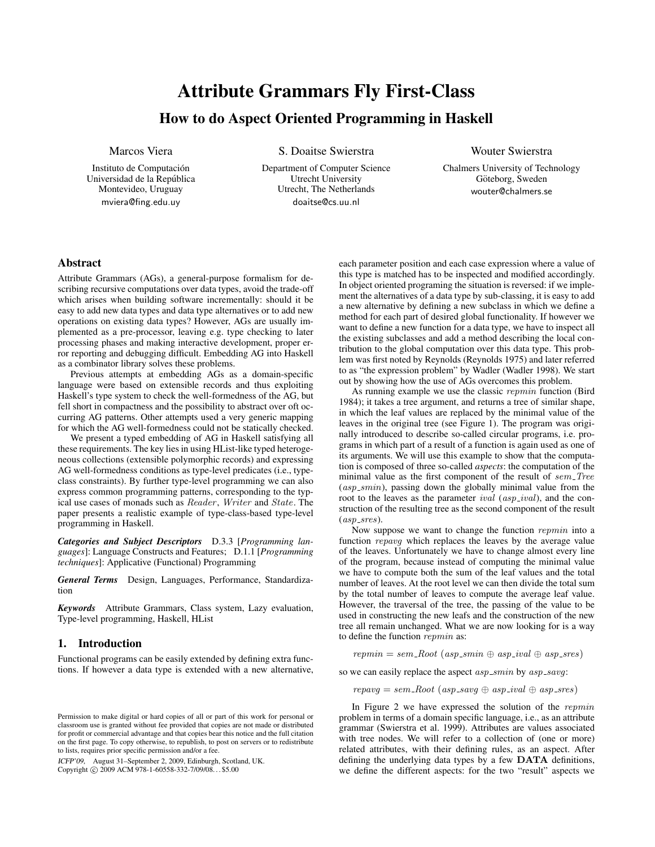# Attribute Grammars Fly First-Class How to do Aspect Oriented Programming in Haskell

Marcos Viera

Instituto de Computación Universidad de la República Montevideo, Uruguay mviera@fing.edu.uy

Department of Computer Science Utrecht University Utrecht, The Netherlands doaitse@cs.uu.nl

S. Doaitse Swierstra

Wouter Swierstra

Chalmers University of Technology Göteborg, Sweden wouter@chalmers.se

# Abstract

Attribute Grammars (AGs), a general-purpose formalism for describing recursive computations over data types, avoid the trade-off which arises when building software incrementally: should it be easy to add new data types and data type alternatives or to add new operations on existing data types? However, AGs are usually implemented as a pre-processor, leaving e.g. type checking to later processing phases and making interactive development, proper error reporting and debugging difficult. Embedding AG into Haskell as a combinator library solves these problems.

Previous attempts at embedding AGs as a domain-specific language were based on extensible records and thus exploiting Haskell's type system to check the well-formedness of the AG, but fell short in compactness and the possibility to abstract over oft occurring AG patterns. Other attempts used a very generic mapping for which the AG well-formedness could not be statically checked.

We present a typed embedding of AG in Haskell satisfying all these requirements. The key lies in using HList-like typed heterogeneous collections (extensible polymorphic records) and expressing AG well-formedness conditions as type-level predicates (i.e., typeclass constraints). By further type-level programming we can also express common programming patterns, corresponding to the typical use cases of monads such as Reader, Writer and State. The paper presents a realistic example of type-class-based type-level programming in Haskell.

*Categories and Subject Descriptors* D.3.3 [*Programming languages*]: Language Constructs and Features; D.1.1 [*Programming techniques*]: Applicative (Functional) Programming

*General Terms* Design, Languages, Performance, Standardization

*Keywords* Attribute Grammars, Class system, Lazy evaluation, Type-level programming, Haskell, HList

## 1. Introduction

Functional programs can be easily extended by defining extra functions. If however a data type is extended with a new alternative,

ICFP'09, August 31–September 2, 2009, Edinburgh, Scotland, UK. Copyright © 2009 ACM 978-1-60558-332-7/09/08... \$5.00

each parameter position and each case expression where a value of this type is matched has to be inspected and modified accordingly. In object oriented programing the situation is reversed: if we implement the alternatives of a data type by sub-classing, it is easy to add a new alternative by defining a new subclass in which we define a method for each part of desired global functionality. If however we want to define a new function for a data type, we have to inspect all the existing subclasses and add a method describing the local contribution to the global computation over this data type. This problem was first noted by Reynolds (Reynolds 1975) and later referred to as "the expression problem" by Wadler (Wadler 1998). We start out by showing how the use of AGs overcomes this problem.

As running example we use the classic repmin function (Bird 1984); it takes a tree argument, and returns a tree of similar shape, in which the leaf values are replaced by the minimal value of the leaves in the original tree (see Figure 1). The program was originally introduced to describe so-called circular programs, i.e. programs in which part of a result of a function is again used as one of its arguments. We will use this example to show that the computation is composed of three so-called *aspects*: the computation of the minimal value as the first component of the result of sem\_Tree  $(asp\_smin)$ , passing down the globally minimal value from the root to the leaves as the parameter *ival* (asp\_ival), and the construction of the resulting tree as the second component of the result  $(asp\_sres).$ 

Now suppose we want to change the function repmin into a function repavg which replaces the leaves by the average value of the leaves. Unfortunately we have to change almost every line of the program, because instead of computing the minimal value we have to compute both the sum of the leaf values and the total number of leaves. At the root level we can then divide the total sum by the total number of leaves to compute the average leaf value. However, the traversal of the tree, the passing of the value to be used in constructing the new leafs and the construction of the new tree all remain unchanged. What we are now looking for is a way to define the function repmin as:

 $repmin = sem\_Root$  (asp\_smin  $\oplus$  asp\_ival  $\oplus$  asp\_sres)

so we can easily replace the aspect  $asp\_smin$  by  $asp\_savg$ :

 $repay = sem\_Root (asp\_savg \oplus asp\_ival \oplus asp\_sres)$ 

In Figure 2 we have expressed the solution of the repmin problem in terms of a domain specific language, i.e., as an attribute grammar (Swierstra et al. 1999). Attributes are values associated with tree nodes. We will refer to a collection of (one or more) related attributes, with their defining rules, as an aspect. After defining the underlying data types by a few DATA definitions, we define the different aspects: for the two "result" aspects we

Permission to make digital or hard copies of all or part of this work for personal or classroom use is granted without fee provided that copies are not made or distributed for profit or commercial advantage and that copies bear this notice and the full citation on the first page. To copy otherwise, to republish, to post on servers or to redistribute to lists, requires prior specific permission and/or a fee.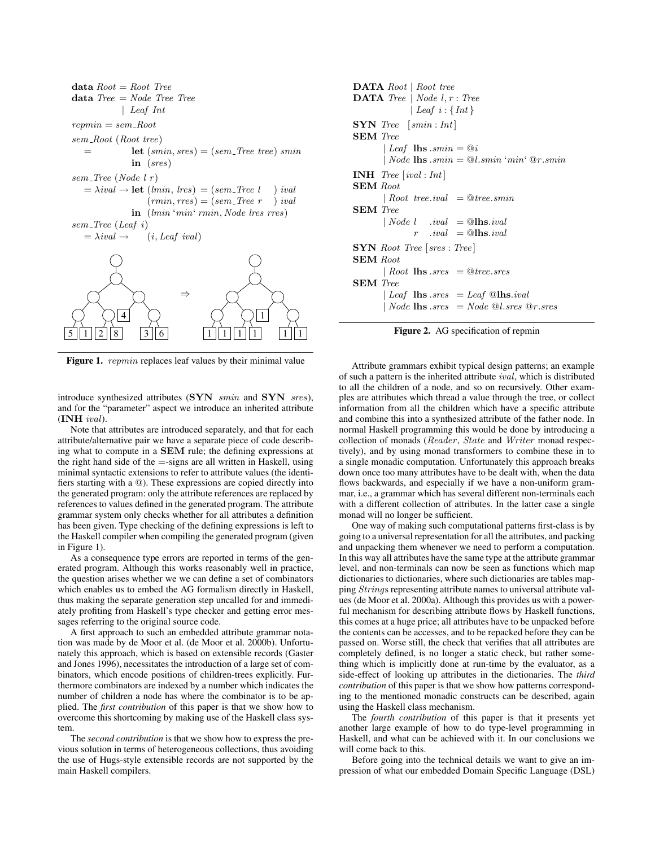

Figure 1. *repmin* replaces leaf values by their minimal value

introduce synthesized attributes (SYN smin and SYN sres), and for the "parameter" aspect we introduce an inherited attribute (INH ival).

Note that attributes are introduced separately, and that for each attribute/alternative pair we have a separate piece of code describing what to compute in a SEM rule; the defining expressions at the right hand side of the  $=$ -signs are all written in Haskell, using minimal syntactic extensions to refer to attribute values (the identifiers starting with a @). These expressions are copied directly into the generated program: only the attribute references are replaced by references to values defined in the generated program. The attribute grammar system only checks whether for all attributes a definition has been given. Type checking of the defining expressions is left to the Haskell compiler when compiling the generated program (given in Figure 1).

As a consequence type errors are reported in terms of the generated program. Although this works reasonably well in practice, the question arises whether we we can define a set of combinators which enables us to embed the AG formalism directly in Haskell, thus making the separate generation step uncalled for and immediately profiting from Haskell's type checker and getting error messages referring to the original source code.

A first approach to such an embedded attribute grammar notation was made by de Moor et al. (de Moor et al. 2000b). Unfortunately this approach, which is based on extensible records (Gaster and Jones 1996), necessitates the introduction of a large set of combinators, which encode positions of children-trees explicitly. Furthermore combinators are indexed by a number which indicates the number of children a node has where the combinator is to be applied. The *first contribution* of this paper is that we show how to overcome this shortcoming by making use of the Haskell class system.

The *second contribution* is that we show how to express the previous solution in terms of heterogeneous collections, thus avoiding the use of Hugs-style extensible records are not supported by the main Haskell compilers.

| <b>DATA</b> Root   Root tree                                                                         |  |  |  |
|------------------------------------------------------------------------------------------------------|--|--|--|
| <b>DATA</b> Tree   Node $l, r$ : Tree                                                                |  |  |  |
| Leaf $i: \{Int\}$                                                                                    |  |  |  |
| $SYN$ Tree $\vert smin : Int \vert$                                                                  |  |  |  |
| <b>SEM</b> Tree                                                                                      |  |  |  |
| Leaf $\text{Ins } . \text{smin} = \textcircled{a}i$                                                  |  |  |  |
| Node $\mathbf{h}$ s .smin = $@l$ .smin 'min' $@r$ .smin                                              |  |  |  |
| <b>INH</b> Tree $ ival:Int $                                                                         |  |  |  |
| <b>SEM</b> Root                                                                                      |  |  |  |
| $\mid Root \, tree.val = @tree semi$                                                                 |  |  |  |
| <b>SEM</b> Tree                                                                                      |  |  |  |
| $\begin{array}{ccc} \n  \text{Node } l & .ival & = \text{Qlhs}.ival \n\end{array}$                   |  |  |  |
| r .ival $=$ @lhs.ival                                                                                |  |  |  |
| $SYN$ Root Tree $ sres : Tree $                                                                      |  |  |  |
| <b>SEM</b> Root                                                                                      |  |  |  |
| $\vert \; Root \; \vert \;$ Abs .sres = @ tree.sres                                                  |  |  |  |
| <b>SEM</b> <i>Tree</i>                                                                               |  |  |  |
| Leaf $\text{Ins} \; \text{.} \; \text{sres} \; = \text{Leaf} \; \text{@lhs} \text{.} \; \text{ival}$ |  |  |  |
| $\big \;Node\;$ <b>lhs</b> .sres = Node $@l.sres$ $@r.sres$                                          |  |  |  |
|                                                                                                      |  |  |  |

Figure 2. AG specification of repmin

Attribute grammars exhibit typical design patterns; an example of such a pattern is the inherited attribute ival, which is distributed to all the children of a node, and so on recursively. Other examples are attributes which thread a value through the tree, or collect information from all the children which have a specific attribute and combine this into a synthesized attribute of the father node. In normal Haskell programming this would be done by introducing a collection of monads (Reader, State and Writer monad respectively), and by using monad transformers to combine these in to a single monadic computation. Unfortunately this approach breaks down once too many attributes have to be dealt with, when the data flows backwards, and especially if we have a non-uniform grammar, i.e., a grammar which has several different non-terminals each with a different collection of attributes. In the latter case a single monad will no longer be sufficient.

One way of making such computational patterns first-class is by going to a universal representation for all the attributes, and packing and unpacking them whenever we need to perform a computation. In this way all attributes have the same type at the attribute grammar level, and non-terminals can now be seen as functions which map dictionaries to dictionaries, where such dictionaries are tables mapping Strings representing attribute names to universal attribute values (de Moor et al. 2000a). Although this provides us with a powerful mechanism for describing attribute flows by Haskell functions, this comes at a huge price; all attributes have to be unpacked before the contents can be accesses, and to be repacked before they can be passed on. Worse still, the check that verifies that all attributes are completely defined, is no longer a static check, but rather something which is implicitly done at run-time by the evaluator, as a side-effect of looking up attributes in the dictionaries. The *third contribution* of this paper is that we show how patterns corresponding to the mentioned monadic constructs can be described, again using the Haskell class mechanism.

The *fourth contribution* of this paper is that it presents yet another large example of how to do type-level programming in Haskell, and what can be achieved with it. In our conclusions we will come back to this.

Before going into the technical details we want to give an impression of what our embedded Domain Specific Language (DSL)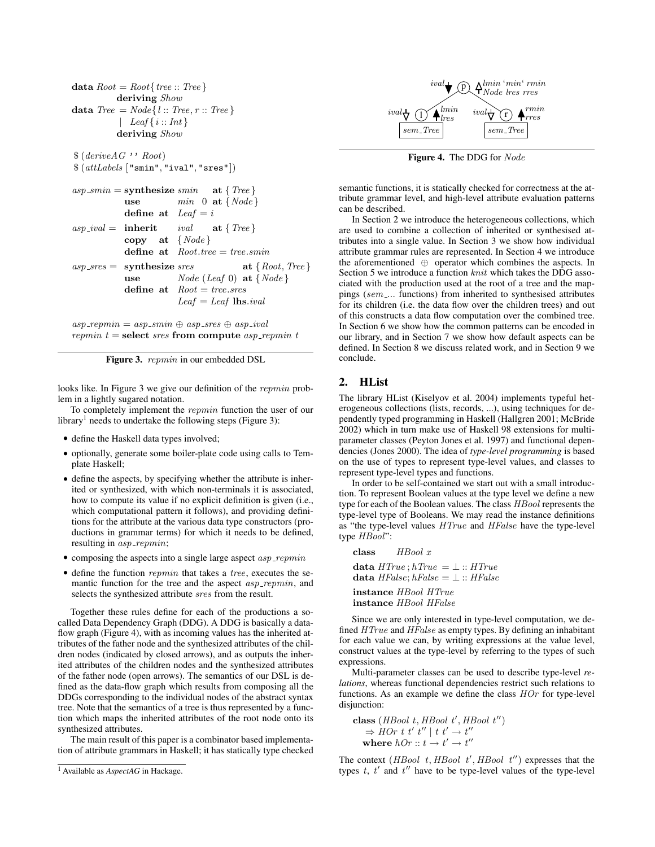```
data Root = Root{tree::Tree}deriving Show
data Tree = Node{l :: Tree, r :: Tree}| Leaf \{i::Int\}deriving Show
\$(deriveAG \rightarrow Root)$ (attLabels [ "smin", "ival", "sres"] )asp\_smin = synthesize smin at \{Tree\}use min \space 0 \space at \{Node\}define at Leaf = iasp\_ival = inherit ival at {Tree }
           copy at \{Node\}define at Root.tree = tree.sumasp\_sres = synthesize sres at {Root, Tree}
           use Node (Leaf 0) at \{Node\}define at Root = tree.sresLeaf = Leaf lhs.ival
```
 $asp\_repmin = asp\_smin \oplus asp\_sres \oplus asp\_ival$ repmin  $t =$  select sres from compute asp\_repmin  $t$ 

Figure 3. repmin in our embedded DSL

looks like. In Figure 3 we give our definition of the repmin problem in a lightly sugared notation.

To completely implement the repmin function the user of our library<sup>1</sup> needs to undertake the following steps (Figure 3):

- define the Haskell data types involved;
- optionally, generate some boiler-plate code using calls to Template Haskell;
- define the aspects, by specifying whether the attribute is inherited or synthesized, with which non-terminals it is associated, how to compute its value if no explicit definition is given (i.e., which computational pattern it follows), and providing definitions for the attribute at the various data type constructors (productions in grammar terms) for which it needs to be defined, resulting in asp\_repmin;
- composing the aspects into a single large aspect  $asp$ -repmin
- $\bullet$  define the function *repmin* that takes a *tree*, executes the semantic function for the tree and the aspect asp\_repmin, and selects the synthesized attribute sres from the result.

Together these rules define for each of the productions a socalled Data Dependency Graph (DDG). A DDG is basically a dataflow graph (Figure 4), with as incoming values has the inherited attributes of the father node and the synthesized attributes of the children nodes (indicated by closed arrows), and as outputs the inherited attributes of the children nodes and the synthesized attributes of the father node (open arrows). The semantics of our DSL is defined as the data-flow graph which results from composing all the DDGs corresponding to the individual nodes of the abstract syntax tree. Note that the semantics of a tree is thus represented by a function which maps the inherited attributes of the root node onto its synthesized attributes.

The main result of this paper is a combinator based implementation of attribute grammars in Haskell; it has statically type checked



Figure 4. The DDG for Node

semantic functions, it is statically checked for correctness at the attribute grammar level, and high-level attribute evaluation patterns can be described.

In Section 2 we introduce the heterogeneous collections, which are used to combine a collection of inherited or synthesised attributes into a single value. In Section 3 we show how individual attribute grammar rules are represented. In Section 4 we introduce the aforementioned  $oplus$  operator which combines the aspects. In Section 5 we introduce a function *knit* which takes the DDG associated with the production used at the root of a tree and the mappings ( $sem$ .... functions) from inherited to synthesised attributes for its children (i.e. the data flow over the children trees) and out of this constructs a data flow computation over the combined tree. In Section 6 we show how the common patterns can be encoded in our library, and in Section 7 we show how default aspects can be defined. In Section 8 we discuss related work, and in Section 9 we conclude.

# 2. HList

The library HList (Kiselyov et al. 2004) implements typeful heterogeneous collections (lists, records, ...), using techniques for dependently typed programming in Haskell (Hallgren 2001; McBride 2002) which in turn make use of Haskell 98 extensions for multiparameter classes (Peyton Jones et al. 1997) and functional dependencies (Jones 2000). The idea of *type-level programming* is based on the use of types to represent type-level values, and classes to represent type-level types and functions.

In order to be self-contained we start out with a small introduction. To represent Boolean values at the type level we define a new type for each of the Boolean values. The class HBool represents the type-level type of Booleans. We may read the instance definitions as "the type-level values HTrue and HFalse have the type-level type HBool":

class HBool x data  $HTrue$ ;  $hTrue = \bot :: HTrue$ data  $HFalse$ ;  $hFalse = \bot$  :: HFalse instance HBool HTrue instance HBool HFalse

Since we are only interested in type-level computation, we defined HTrue and HFalse as empty types. By defining an inhabitant for each value we can, by writing expressions at the value level, construct values at the type-level by referring to the types of such expressions.

Multi-parameter classes can be used to describe type-level *relations*, whereas functional dependencies restrict such relations to functions. As an example we define the class  $HOr$  for type-level disjunction:

class ( $HBool$  t,  $HBool$  t',  $HBool$  t'')  $\Rightarrow$  HOr t t' t'' | t t'  $\rightarrow$  t'' where  $hOr :: t \rightarrow t' \rightarrow t''$ 

The context  $(HBool \ t, HBool \ t', HBool \ t'')$  expresses that the types  $t$ ,  $t'$  and  $t''$  have to be type-level values of the type-level

<sup>1</sup> Available as *AspectAG* in Hackage.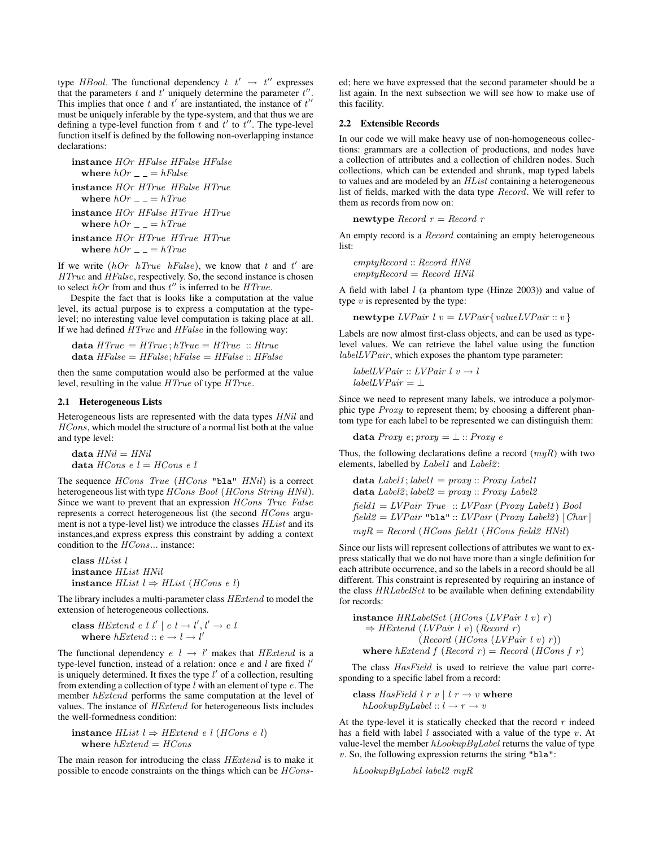type *HBool*. The functional dependency  $t \t t' \rightarrow t''$  expresses that the parameters t and  $t'$  uniquely determine the parameter  $t''$ . This implies that once t and  $t'$  are instantiated, the instance of  $t''$ must be uniquely inferable by the type-system, and that thus we are defining a type-level function from t and  $t'$  to  $t''$ . The type-level function itself is defined by the following non-overlapping instance declarations:

instance HOr HFalse HFalse HFalse where  $hOr = hFalse$ instance HOr HTrue HFalse HTrue where  $hOr_{-} = hTrue$ instance HOr HFalse HTrue HTrue where  $hOr = hTrue$ instance HOr HTrue HTrue HTrue where  $hOr = hTrue$ 

If we write  $(hOr \ hTrue \ hFalse)$ , we know that t and t' are HTrue and HFalse, respectively. So, the second instance is chosen to select  $hOr$  from and thus  $t''$  is inferred to be  $HTrue$ .

Despite the fact that is looks like a computation at the value level, its actual purpose is to express a computation at the typelevel; no interesting value level computation is taking place at all. If we had defined HTrue and HFalse in the following way:

data  $HTrue = HTrue$ ;  $hTrue = HTrue$  :: Htrue data  $HFalse = HFalse$ ;  $hFalse = HFalse$  :: HFalse

then the same computation would also be performed at the value level, resulting in the value HTrue of type HTrue.

#### 2.1 Heterogeneous Lists

Heterogeneous lists are represented with the data types HNil and HCons, which model the structure of a normal list both at the value and type level:

data  $HNil = HNil$ data  $HCons$  e  $l = HCons$  e l

The sequence  $HCons$  True  $(HCons$  "bla"  $HNil)$  is a correct heterogeneous list with type HCons Bool (HCons String HNil). Since we want to prevent that an expression HCons True False represents a correct heterogeneous list (the second HCons argument is not a type-level list) we introduce the classes  $HList$  and its instances,and express express this constraint by adding a context condition to the  $HCons...$  instance:

```
class HList l
instance HList HNil
instance HList \, l \Rightarrow HList \, (HCons \, e \, l)
```
The library includes a multi-parameter class HExtend to model the extension of heterogeneous collections.

```
class HExtend e l l' | e l \rightarrow l', l' \rightarrow e l
   where hExtend::e \rightarrow l \rightarrow l'
```
The functional dependency  $e \, l \rightarrow l'$  makes that  $H{\it Extend}$  is a type-level function, instead of a relation: once  $e$  and  $l$  are fixed  $l'$ is uniquely determined. It fixes the type  $l'$  of a collection, resulting from extending a collection of type  $l$  with an element of type  $e$ . The member hExtend performs the same computation at the level of values. The instance of HExtend for heterogeneous lists includes the well-formedness condition:

**instance** *HList* 
$$
l \Rightarrow HExtend \neq l
$$
 (*HCons*  $e l$ )  
**where**  $hExtend = HCons$ 

The main reason for introducing the class HExtend is to make it possible to encode constraints on the things which can be HConsed; here we have expressed that the second parameter should be a list again. In the next subsection we will see how to make use of this facility.

#### 2.2 Extensible Records

In our code we will make heavy use of non-homogeneous collections: grammars are a collection of productions, and nodes have a collection of attributes and a collection of children nodes. Such collections, which can be extended and shrunk, map typed labels to values and are modeled by an HList containing a heterogeneous list of fields, marked with the data type Record. We will refer to them as records from now on:

newtype  $Record r = Record r$ 

An empty record is a *Record* containing an empty heterogeneous list:

emptyRecord :: Record HNil  $emptyRecord = Record HNil$ 

A field with label  $l$  (a phantom type (Hinze 2003)) and value of type  $v$  is represented by the type:

```
newtype LVPair l v = LVPair{ value LVPair :: v }
```
Labels are now almost first-class objects, and can be used as typelevel values. We can retrieve the label value using the function  $labelLVPair,$  which exposes the phantom type parameter:

$$
labelLVPair::LVPair: LVPair \, l \, v \rightarrow l
$$

$$
labelLVPair = \bot
$$

Since we need to represent many labels, we introduce a polymorphic type Proxy to represent them; by choosing a different phantom type for each label to be represented we can distinguish them:

data *Proxy*  $e$ ;  $\text{prox}_y = \bot$  :: *Proxy*  $e$ 

Thus, the following declarations define a record  $(myR)$  with two elements, labelled by Label1 and Label2:

data Label1 ; label1 = proxy :: Proxy Label1 data Label2 ; label2 = proxy :: Proxy Label2 field1 = LVPair True :: LVPair (Proxy Label1 ) Bool field2 = LVPair "bla" :: LVPair (Proxy Label2 ) [Char ] myR = Record (HCons field1 (HCons field2 HNil)

Since our lists will represent collections of attributes we want to express statically that we do not have more than a single definition for each attribute occurrence, and so the labels in a record should be all different. This constraint is represented by requiring an instance of the class HRLabelSet to be available when defining extendability for records:

instance  $HRLabelSet$  (HCons (LVPair l v) r)  $\Rightarrow$  HExtend (LVPair l v) (Record r)  $(Record(HCons(LVPair l v) r))$ where hExtend f (Record  $r$ ) = Record (HCons f r)

The class  $HasField$  is used to retrieve the value part corresponding to a specific label from a record:

class HasField l r v | l r  $\rightarrow$  v where  $hLookupByLabel :: l \rightarrow r \rightarrow v$ 

At the type-level it is statically checked that the record  $r$  indeed has a field with label  $l$  associated with a value of the type  $v$ . At value-level the member hLookupByLabel returns the value of type  $v$ . So, the following expression returns the string "bla":

hLookupByLabel label2 myR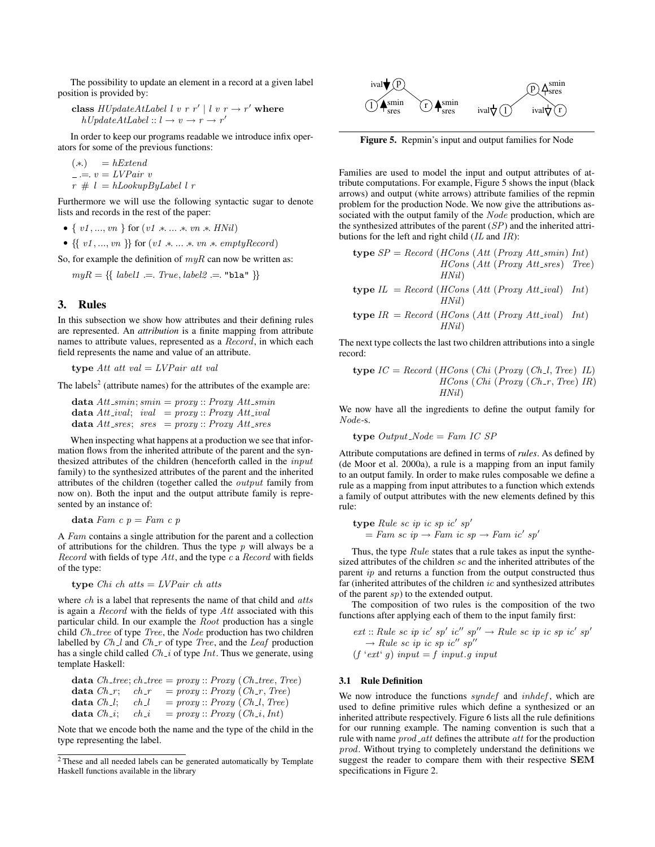The possibility to update an element in a record at a given label position is provided by:

class  $HUpdateAtLabel$  l v r r' | l v r  $\rightarrow$  r' where  $hUpdateAtLabel :: l \rightarrow v \rightarrow r \rightarrow r'$ 

In order to keep our programs readable we introduce infix operators for some of the previous functions:

 $(\cdot \ast \cdot) = hExtend$  $=$ . $=$ .  $v = LVPair$  v  $r \# l = h$ LookupByLabel l r

Furthermore we will use the following syntactic sugar to denote lists and records in the rest of the paper:

• { 
$$
v1, ..., vn
$$
 } for  $(v1, ..., wn, m, *, HNil)$ 

• { $\{ v1, ..., vn \}$ } for  $(v1, ..., vn, ..., vn, ...$  *\*.*  $vn \times emptyRecord)$ 

So, for example the definition of  $myR$  can now be written as:

$$
myR = \{ \{ label1 == True, label2 == "bla" \}
$$

#### 3. Rules

In this subsection we show how attributes and their defining rules are represented. An *attribution* is a finite mapping from attribute names to attribute values, represented as a Record, in which each field represents the name and value of an attribute.

type Att att val  $= LVP$ air att val

The labels<sup>2</sup> (attribute names) for the attributes of the example are:

data  $Att\_smin; smin = proxy :: Proxy \text{ } Att\_smin$ data  $Att\_ival$ ; ival = proxy :: Proxy  $Att\_ival$ data  $Att\_sres$ ;  $sres = proxy :: Proxy At\_sres$ 

When inspecting what happens at a production we see that information flows from the inherited attribute of the parent and the synthesized attributes of the children (henceforth called in the input family) to the synthesized attributes of the parent and the inherited attributes of the children (together called the output family from now on). Both the input and the output attribute family is represented by an instance of:

data Fam  $c$   $p =$  Fam  $c$   $p$ 

A Fam contains a single attribution for the parent and a collection of attributions for the children. Thus the type  $p$  will always be a *Record* with fields of type  $Att$ , and the type  $c$  a  $Record$  with fields of the type:

type Chi ch atts  $= LVP$ air ch atts

where *ch* is a label that represents the name of that child and *atts* is again a Record with the fields of type Att associated with this particular child. In our example the Root production has a single child Ch\_tree of type Tree, the Node production has two children labelled by  $Ch_l$  and  $Ch_r$  of type *Tree*, and the *Leaf* production has a single child called  $Ch_i$  of type  $Int$ . Thus we generate, using template Haskell:

data  $Ch\_tree$ ;  $ch\_tree = proxy :: Proxy (Ch\_tree, Tree)$ data  $Ch_{-}r$ ;  $ch_{-}r = proxy : Proxy (Ch_{-}r, Tree)$ data  $Ch_l$ ;  $ch_l = proxy : Proxy (Ch_l, Tree)$ data  $Ch_i$ ; ch i = proxy :: Proxy (Ch i, Int)

Note that we encode both the name and the type of the child in the type representing the label.



Figure 5. Repmin's input and output families for Node

Families are used to model the input and output attributes of attribute computations. For example, Figure 5 shows the input (black arrows) and output (white arrows) attribute families of the repmin problem for the production Node. We now give the attributions associated with the output family of the Node production, which are the synthesized attributes of the parent  $(SP)$  and the inherited attributions for the left and right child  $(IL$  and  $IR)$ :

type  $SP = Record$  (HCons (Att (Proxy Att\_smin) Int)  $HCons$   $(Att (Proxy Att\_sres)$   $Tree)$ HNil)

**type** 
$$
IL = Record
$$
  $(HCons (Att (Proxy Att_ival) Int)$   
 $HNil)$ 

**type** 
$$
IR = Record
$$
  $(HCons (Att (Proxy Att_ival) Int)$   
 $HNil)$ 

The next type collects the last two children attributions into a single record:

type IC = Record (HCons (Chi (Proxy (Ch l, Tree) IL) HCons (Chi (Proxy (Ch r , Tree) IR) HNil)

We now have all the ingredients to define the output family for Node-s.

type  $Output\_Node = Fam \, IC \, SP$ 

Attribute computations are defined in terms of *rules*. As defined by (de Moor et al. 2000a), a rule is a mapping from an input family to an output family. In order to make rules composable we define a rule as a mapping from input attributes to a function which extends a family of output attributes with the new elements defined by this rule:

**type** Rule sc *ip* ic *sp* ic' 
$$
sp'
$$
  
= Fam sc  $ip \rightarrow Fam$  ic  $sp \rightarrow Fam$  ic'  $sp'$ 

Thus, the type Rule states that a rule takes as input the synthesized attributes of the children sc and the inherited attributes of the parent ip and returns a function from the output constructed thus far (inherited attributes of the children  $ic$  and synthesized attributes of the parent sp) to the extended output.

The composition of two rules is the composition of the two functions after applying each of them to the input family first:

ext :: Rule sc ip ic' sp' ic'' sp'' 
$$
\rightarrow
$$
 Rule sc ip ic sp ic' sp'  
\n $\rightarrow$  Rule sc ip ic sp ic" sp''  
\n(f 'ext' g) input = f input.g input

## 3.1 Rule Definition

We now introduce the functions *syndef* and *inhdef*, which are used to define primitive rules which define a synthesized or an inherited attribute respectively. Figure 6 lists all the rule definitions for our running example. The naming convention is such that a rule with name  $prod\_att$  defines the attribute att for the production prod. Without trying to completely understand the definitions we suggest the reader to compare them with their respective SEM specifications in Figure 2.

<sup>2</sup> These and all needed labels can be generated automatically by Template Haskell functions available in the library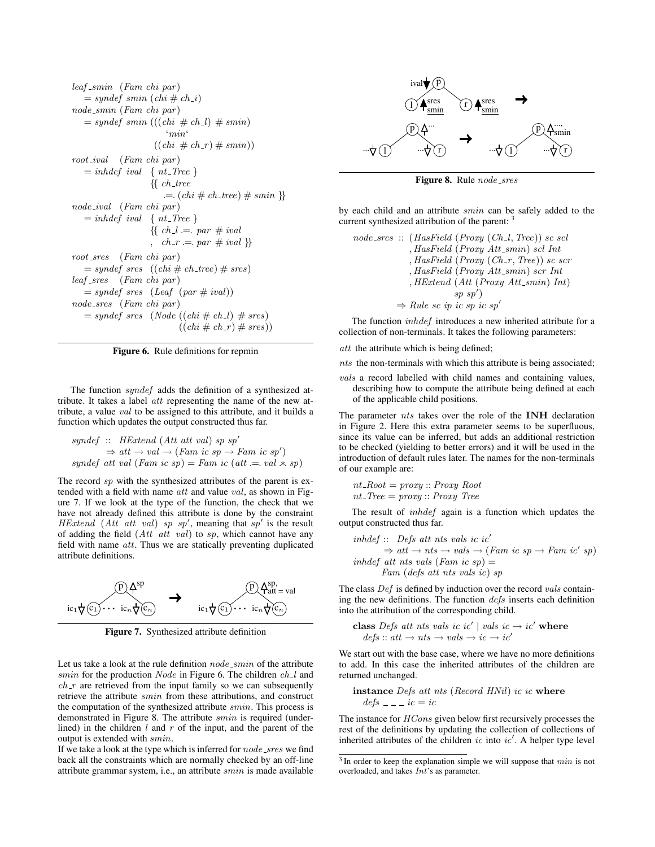$leaf\_smin$  (Fam chi par)  $=$  syndef smin (chi  $\#$  ch<sub>-i</sub>) node smin (Fam chi par )  $= syndef smin (((chi \neq ch_l) \neq smin))$ 'min'  $((chi \# ch<sub>-</sub>r) \# smin))$ root\_ival (Fam chi par)  $= \text{inhdef} \text{ ival} \ \{ nt \text{ .} \text{Tree} \}$  ${f}$  ch\_tree  $:= (chi \# ch\_tree) \# smin \}$ node ival (Fam chi par )  $= \text{inhdef} \text{ival} \{ nt \text{ .} \text{Tree} \}$  ${ \ \ \kappa \ }$  ch  $l = \pi p a r \neq \text{iv} a l$ ,  $ch_r = par \# ival$ }  $root\_sres$  (Fam chi par)  $= syndef sres \ ((chi \nleftrightarrow th\_tree) \nleftrightarrow sres)$  $leaf\_sres$  (Fam chi par)  $=$  syndef sres (Leaf (par # ival)) node sres (Fam chi par )  $= syndef sres \ (Node ((chi # ch_l) # sres)$  $((chi \n# ch<sub>-</sub>r) \n# sres))$ 

Figure 6. Rule definitions for repmin

The function syndef adds the definition of a synthesized attribute. It takes a label att representing the name of the new attribute, a value val to be assigned to this attribute, and it builds a function which updates the output constructed thus far.

$$
syndef :: HExtend (Att \text{ } (att \text{ } val) \text{ } sp \text{ } sp'
$$
  
\n
$$
\Rightarrow att \rightarrow val \rightarrow (Fam \text{ } ic \text{ } sp \rightarrow Fam \text{ } ic \text{ } sp')
$$
  
\n
$$
syndef \text{ } att \text{ } val (Fam \text{ } ic \text{ } sp) = Fam \text{ } ic \text{ } (att \text{ } == \text{ } val \text{ } * \text{ } sp)
$$

The record  $sp$  with the synthesized attributes of the parent is extended with a field with name att and value val, as shown in Figure 7. If we look at the type of the function, the check that we have not already defined this attribute is done by the constraint HExtend (Att att val) sp sp', meaning that sp' is the result of adding the field  $(Att \atop att \atop val)$  to sp, which cannot have any field with name att. Thus we are statically preventing duplicated attribute definitions.



Figure 7. Synthesized attribute definition

Let us take a look at the rule definition  $node\_smin$  of the attribute smin for the production *Node* in Figure 6. The children *ch*<sub>-</sub>*l* and  $ch$ - *r* are retrieved from the input family so we can subsequently retrieve the attribute smin from these attributions, and construct the computation of the synthesized attribute smin. This process is demonstrated in Figure 8. The attribute smin is required (underlined) in the children  $l$  and  $r$  of the input, and the parent of the output is extended with smin.

If we take a look at the type which is inferred for  $node\_sres$  we find back all the constraints which are normally checked by an off-line attribute grammar system, i.e., an attribute smin is made available



Figure 8. Rule node\_sres

by each child and an attribute smin can be safely added to the current synthesized attribution of the parent: <sup>3</sup>

node-sres :: (HasField (Proxy (Ch-l, Tree)) sc scl  
\n, HasField (Proxy Att,smin) scl Int  
\n, HasField (Proxy (Ch\_r, Tree)) sc scr  
\n, HasField (Proxy Att,smin) scr Int  
\n, HExtend (Att (Proxy Att-smin) Int)  
\nsp sp')  
\n
$$
\Rightarrow
$$
 Rule sc ip ic sp'c sp'

The function *inhdef* introduces a new inherited attribute for a collection of non-terminals. It takes the following parameters:

att the attribute which is being defined;

- nts the non-terminals with which this attribute is being associated;
- vals a record labelled with child names and containing values, describing how to compute the attribute being defined at each of the applicable child positions.

The parameter *nts* takes over the role of the **INH** declaration in Figure 2. Here this extra parameter seems to be superfluous, since its value can be inferred, but adds an additional restriction to be checked (yielding to better errors) and it will be used in the introduction of default rules later. The names for the non-terminals of our example are:

 $nt\_{Root} = proxy :: Proxy$  Root  $nt$ -Tree = proxy :: Proxy Tree

The result of *inhdef* again is a function which updates the output constructed thus far.

$$
inhdef:: Defs att nts vals ic ic'\n\Rightarrow att \rightarrow nts \rightarrow vals \rightarrow (Fam ic sp \rightarrow Fam ic'sp)\ninhdef att nts vals (Fam ic sp) =\nFam (defs att nts vals ic) sp
$$

The class  $Def$  is defined by induction over the record vals containing the new definitions. The function defs inserts each definition into the attribution of the corresponding child.

**class** *Defs att nts vals ic* 
$$
\cdot
$$
 *| vals ic*  $\rightarrow$  *ic'* **where** *defs* :: *att*  $\rightarrow$  *nts*  $\rightarrow$  *vals*  $\rightarrow$  *ic*  $\rightarrow$  *ic'*

We start out with the base case, where we have no more definitions to add. In this case the inherited attributes of the children are returned unchanged.

**instance** *Defs att nts* (Record *HNil*) *ic ic* **where** 
$$
defs = -i
$$
 *ic*  $=$  *ic*

The instance for HCons given below first recursively processes the rest of the definitions by updating the collection of collections of inherited attributes of the children ic into  $ic'$ . A helper type level

 $3$  In order to keep the explanation simple we will suppose that  $min$  is not overloaded, and takes Int's as parameter.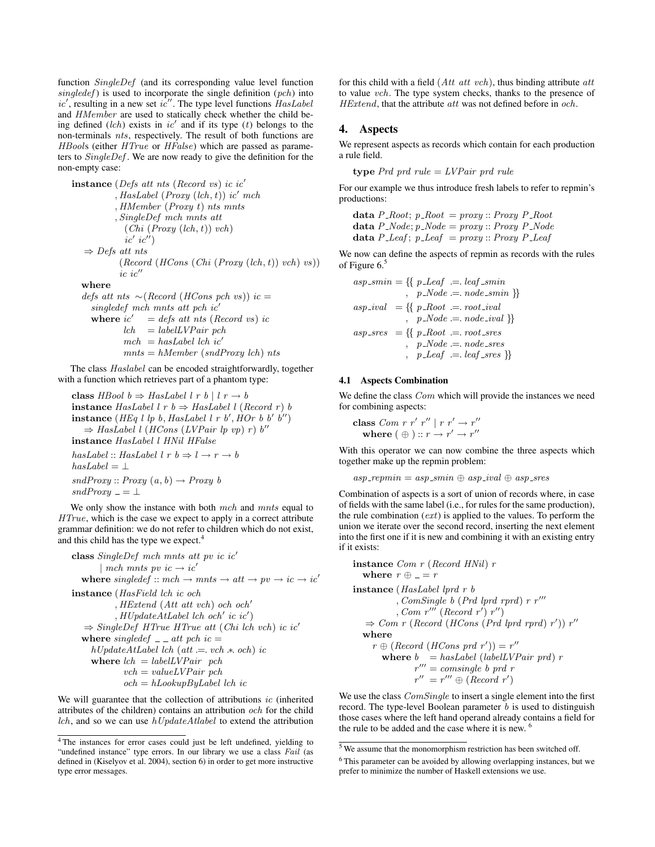function SingleDef (and its corresponding value level function singledef) is used to incorporate the single definition  $(pch)$  into ic', resulting in a new set  $i\tilde{c}''$ . The type level functions  $\tilde{H}asLabel$ and HMember are used to statically check whether the child being defined  $(lch)$  exists in ic' and if its type (t) belongs to the non-terminals nts, respectively. The result of both functions are HBools (either HTrue or HFalse) which are passed as parameters to SingleDef . We are now ready to give the definition for the non-empty case:

$$
\begin{array}{ll}\n\textbf{instance} \text{ (}Defs \text{ at } n \text{ts } (\text{Record } vs) \text{ } ic \text{ } ic'\\
& , \text{HasLabel} \text{ (}Proxy \text{ } (\text{lch}, t) \text{ } ic' \text{ } m \text{ch}\\
& , \text{HMember} \text{ (}Proxy \text{ } t \text{ } n \text{ } t \text{ } s \text{ } m \text{ } t \text{ } s \text{ } & \\
& , \text{SingleDef } m \text{ } c \text{ } h \text{ } m \text{ } t \text{ } s \text{ } & \\
& (\text{Chi } (\text{Proxy } (\text{lch}, t)) \text{ } v \text{ } c \text{ } h) \text{ } & \text{ } ic \text{ } ic' \text{ } & \\
& \Rightarrow \text{Defs} \text{ at } n \text{ } t \text{ } s \text{ } & \\
& (\text{Record } (\text{HCons } \text{Cch } (\text{Proxy } (\text{lch}, t)) \text{ } v \text{ } c \text{ } h) \text{ } s \text{ } & \text{ } ic \text{ } ic' \text{ } & \\
& \text{where} \text{ } \text{ } d \text{ } s \text{ } \text{ } a \text{ } t \text{ } m \text{ } t \text{ } s \text{ } \text{ } (t \text{ } c \text{ } s \text{ } s \text{ } s \text{ } s \text{ } & \text{ } ic \text{ } & \\
& \text{where } \text{ } ic' \text{ } & \text{ } = \text{ } d \text{ } s \text{ } s \text{ } t \text{ } t \text{ } s \text{ } & \text{ } ( \text{record } vs) \text{ } ic \text{ } & \\
& \text{ } (c h \text{ } & \text{ } = \text{ } l \text{ } a \text{ } t \text{ } t \text{ } s \text{ } ( \text{Record } vs) \text{ } i \text{ } c \text{ } & \\
& \text{ } (c h \text{ } & \text{ } = \text{ } d \text{ } s \text{ } s \text{ } t \text{ } t \text{ } s \text{ } & \text{ } ( \text{Record } vs) \text{ } i \text{ } c \text{ } & \\
& \text{ } (c h \text{ } & \text{ } +
$$

The class Haslabel can be encoded straightforwardly, together with a function which retrieves part of a phantom type:

 $mnts = hMember$  (sndProxy lch) nts

 $mch = hasLabel \, lch \, ic'$ 

class HBool  $b \Rightarrow HasLabel \, l \, r \, b \mid l \, r \rightarrow b$ instance HasLabel l r  $b \Rightarrow HasLabel$  l (Record r) b instance  $(HEq \; l \; lp \; b, HasLabel \; l \; r \; b', HOr \; b \; b' \; b'')$  $\Rightarrow$  HasLabel l (HCons (LVPair lp vp) r) b'' instance HasLabel l HNil HFalse  $hasLabel :: HasLabel \, l \, r \, b \Rightarrow l \rightarrow r \rightarrow b$  $hasLabel = \bot$  $sndProxy :: Proxy (a, b) \rightarrow Proxy b$  $sndProxy = \bot$ 

We only show the instance with both  $mch$  and  $mnts$  equal to  $HTrue$ , which is the case we expect to apply in a correct attribute grammar definition: we do not refer to children which do not exist, and this child has the type we expect.<sup>4</sup>

```
class SingleDef mch mnts att pv ic ic'
       | mch mnts pv ic \rightarrow ic'
  where singledef :: mch \rightarrow mnts \rightarrow att \rightarrow pv \rightarrow ic \rightarrow ic'instance (HasField lch ic och
           , HExtend (Att att vch) och och', HUpdateAtLabel \, Ich \, och' \, ic \, ic')\Rightarrow SingleDef HTrue HTrue att (Chi lch vch) ic ic'
  where singledef \Box att pch ic =hUpdateAtLabel lch (att .= vch .* och) ic
     where lch = label LVPair pch
             vch = valueLVPair pch
             och = hLookupByLabel lch ic
```
We will guarantee that the collection of attributions  $ic$  (inherited attributes of the children) contains an attribution och for the child  $lch$ , and so we can use  $hUpdateAtlabel$  to extend the attribution for this child with a field  $(Att \text{ } att \text{ } vch)$ , thus binding attribute  $att$ to value vch. The type system checks, thanks to the presence of HExtend, that the attribute att was not defined before in och.

## 4. Aspects

We represent aspects as records which contain for each production a rule field.

type Prd prd rule  $= LVP$ air prd rule

For our example we thus introduce fresh labels to refer to repmin's productions:

data  $P$ <sub>-Root</sub>;  $p$ <sub>-Root</sub> =  $prox_{y}$  ::  $Proxy$   $P$ <sub>-Root</sub> data  $P\_Node$ ;  $p\_Node = proxy$ :: Proxy  $P\_Node$ data P\_Leaf;  $p$ \_Leaf = proxy :: Proxy P\_Leaf

We now can define the aspects of repmin as records with the rules of Figure 6.<sup>5</sup>

$$
asp\_smin = \{\{ p\_{\text{Left}} \mid \text{= } \text{leaf\_smin} \}
$$
\n
$$
p\_Node := node\_smin \}
$$
\n
$$
asp\_ival = \{\{ p\_{\text{Root}} = \text{root\_ival} \}
$$
\n
$$
p\_Node := \text{node\_ival} \}
$$
\n
$$
asp\_sres = \{\{ p\_{\text{Root}} = \text{root\_sres} \}
$$
\n
$$
p\_Node := \text{node\_sres} \}
$$
\n
$$
p\_Leaf = \text{leaf\_sres} \}
$$

## 4.1 Aspects Combination

We define the class *Com* which will provide the instances we need for combining aspects:

$$
\begin{array}{c}\n\text{class } Com \ r \ r' \ r'' \mid r \ r' \rightarrow r'' \\
\text{where } (\oplus) :: r \rightarrow r' \rightarrow r''\n\end{array}
$$

With this operator we can now combine the three aspects which together make up the repmin problem:

 $asp\_repmin = asp\_smin \oplus asp\_ival \oplus asp\_sres$ 

Combination of aspects is a sort of union of records where, in case of fields with the same label (i.e., for rules for the same production), the rule combination  $(\text{ext})$  is applied to the values. To perform the union we iterate over the second record, inserting the next element into the first one if it is new and combining it with an existing entry if it exists:

```
instance Com r (Record HNil) r
  where r \oplus r = rinstance (HasLabel lprd r b
          , ComSingle b (Prd lprd rprd) r r''', Com r''' (Record r') r'')\Rightarrow Com r (Record (HCons (Prd lprd rprd) r')) r''
  where
     r \oplus (Record (HCons\ prd\ r')) = r''where b = hasLabel (labelLVPair) r
                r''' = \text{comsingle } b \text{ } prd \text{ } rr'' = r''' \oplus (Record \ r')
```
We use the class *ComSingle* to insert a single element into the first record. The type-level Boolean parameter  $\overline{b}$  is used to distinguish those cases where the left hand operand already contains a field for the rule to be added and the case where it is new.

<sup>4</sup> The instances for error cases could just be left undefined, yielding to "undefined instance" type errors. In our library we use a class Fail (as defined in (Kiselyov et al. 2004), section 6) in order to get more instructive type error messages.

 $5$  We assume that the monomorphism restriction has been switched off.

<sup>6</sup> This parameter can be avoided by allowing overlapping instances, but we prefer to minimize the number of Haskell extensions we use.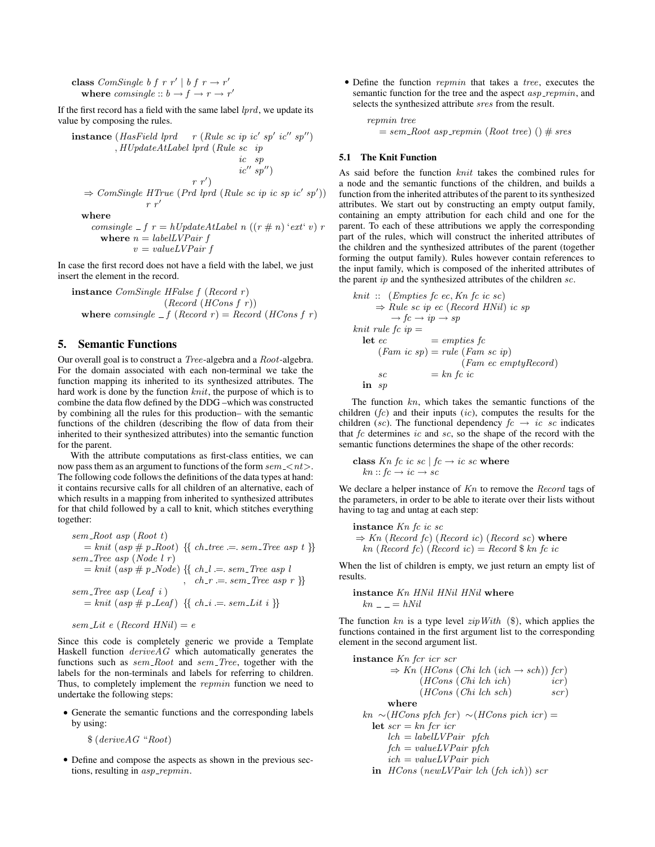class ComSingle b f r r' | b f  $r \rightarrow r'$ where  $\textit{comsingle} :: b \rightarrow f \rightarrow r \rightarrow r'$ 

 $r r'$ 

If the first record has a field with the same label  $lprd$ , we update its value by composing the rules.

$$
\begin{aligned}\n\text{instance } (HasField\; lprd \quad r \; (Rule\; sc\; ip\; ic' \; sp' \; ic' \; sp'') \\
, HUpdateAtLabel\; lprd \; (Rule\; sc\; ip \quad ic' \; sp') \\
& \quad ic' \; sp'') \\
\Rightarrow \text{ComSingle}\; HTrue\; (Prd\; lprd \; (Rule\; sc\; ip\; ic\; sp\; ic' \; sp'))\n\end{aligned}
$$

where

comsingle  $f r = hUpdateAtLabel n ((r # n) 'ext' v) r$ where  $n = labelLVP$ air f  $v = valueLVP$ air f

In case the first record does not have a field with the label, we just insert the element in the record.

\n
$$
\text{instance } \text{ComSingle } \text{HFalse } f \text{ (Record } r)
$$
\n  
\n $\text{(Record } (HCons f r))$ \n  
\n $\text{where } \text{cosingle } \_ f \text{ (Record } r) = \text{Record } (HCons f r)$ \n

## 5. Semantic Functions

Our overall goal is to construct a Tree-algebra and a Root-algebra. For the domain associated with each non-terminal we take the function mapping its inherited to its synthesized attributes. The hard work is done by the function knit, the purpose of which is to combine the data flow defined by the DDG –which was constructed by combining all the rules for this production– with the semantic functions of the children (describing the flow of data from their inherited to their synthesized attributes) into the semantic function for the parent.

With the attribute computations as first-class entities, we can now pass them as an argument to functions of the form  $sem \lt n t$ . The following code follows the definitions of the data types at hand: it contains recursive calls for all children of an alternative, each of which results in a mapping from inherited to synthesized attributes for that child followed by a call to knit, which stitches everything together:

sem\_Root asp (Root t)  $= knit (asp # p\_Root) \{ \}$  ch\_tree .= sem\_Tree asp t  $\}$ sem<sub>-Tree</sub> asp (Node  $l r$ )  $= knit (asp # pNode) \{ \; ch_l = sem_Tree \; asp \; lb \}$ ,  $ch_r = sem_Tre \naspr \n}$  $sem\_Tree \; asp \; (Leaf \; i)$  $= knit (asp # p\_Leaf) \{ \{ ch_i = .sem_i \} \}$ 

```
sem_Lit e (Record HNil) = e
```
Since this code is completely generic we provide a Template Haskell function  $deriveAG$  which automatically generates the functions such as  $sem\_Root$  and  $sem\_Tree$ , together with the labels for the non-terminals and labels for referring to children. Thus, to completely implement the repmin function we need to undertake the following steps:

• Generate the semantic functions and the corresponding labels by using:

\$ (deriveAG "Root)

• Define and compose the aspects as shown in the previous sections, resulting in asp\_repmin.

• Define the function repmin that takes a tree, executes the semantic function for the tree and the aspect asp\_repmin, and selects the synthesized attribute sres from the result.

```
repmin tree
   = sem\_Root \; asp\_repmin \; (Root \; tree) \; () \# \; sres
```
#### 5.1 The Knit Function

As said before the function knit takes the combined rules for a node and the semantic functions of the children, and builds a function from the inherited attributes of the parent to its synthesized attributes. We start out by constructing an empty output family, containing an empty attribution for each child and one for the parent. To each of these attributions we apply the corresponding part of the rules, which will construct the inherited attributes of the children and the synthesized attributes of the parent (together forming the output family). Rules however contain references to the input family, which is composed of the inherited attributes of the parent  $ip$  and the synthesized attributes of the children  $sc$ .

$$
kni t :: (Empties fc ec, Kn fc ic sc)
$$
  
\n
$$
\Rightarrow Rule sc ip ec (Record HNil) ic sp
$$
  
\n
$$
\rightarrow fc \rightarrow ip \rightarrow sp
$$
  
\n
$$
kni t rule fc ip =
$$
  
\n
$$
let ec = empties fc
$$
  
\n
$$
(Fam ic sp) = rule (Fam sc ip)
$$
  
\n
$$
(Fam ec emptyRecord)
$$
  
\n
$$
sc = kn fc ic
$$

The function  $kn$ , which takes the semantic functions of the children  $(fc)$  and their inputs  $(ic)$ , computes the results for the children (sc). The functional dependency  $fc \rightarrow ic \; sc$  indicates that  $fc$  determines  $ic$  and  $sc$ , so the shape of the record with the semantic functions determines the shape of the other records:

$$
\begin{array}{c}\n\textbf{class } Kn \text{ } \textit{fc} \text{ } \textit{ic} \text{ } \textit{sc} \text{ } | \text{ } \textit{fc} \rightarrow \textit{ic} \text{ } \textit{sc} \text{ } \textbf{where} \\
\textit{kn} :: \textit{fc} \rightarrow \textit{ic} \rightarrow \textit{sc}\n\end{array}
$$

We declare a helper instance of  $Kn$  to remove the  $Record$  tags of the parameters, in order to be able to iterate over their lists without having to tag and untag at each step:

**instance** Kn fc ic sc  
\n
$$
\Rightarrow
$$
 Kn (Record fc) (Record ic) (Record sc) where  
\nkn (Record fc) (Record ic) = Record \$ kn fc ic

When the list of children is empty, we just return an empty list of results.

instance Kn HNil HNil HNil where  $kn = -hNil$ 

The function kn is a type level  $zipWith$  (\$), which applies the functions contained in the first argument list to the corresponding element in the second argument list.

$$
\begin{aligned}\n\text{instance } Kn \text{ for } irr \text{ } scr\\ \Rightarrow Kn \text{ } (HCons \text{ } (Chi \text{ } lch \text{ } (ich \rightarrow sch)) \text{ } for)\\ \text{ } (HCons \text{ } (Chi \text{ } lch \text{ } ich) \text{ } & \text{ } icr)\\ \text{ } (HCons \text{ } (Chi \text{ } lch \text{ } sch) \text{ } & \text{ } scr)\\ \text{where} \\ kn &\sim (HCons \text{ } p f ch \text{ } for) \sim (HCons \text{ } p ich \text{ } icr) =\\ \text{let } scr = kn \text{ } for \text{ } icr\\ \text{ } ch = \text{labelLVP} air \text{ } p f ch\\ \text{ } ich = \text{valueLVP} air \text{ } p f ch\\ \text{ } in \text{ } HCons \text{ } (newLVPair \text{ } lch \text{ } (fch \text{ } ich)) \text{ } scr \end{aligned}
$$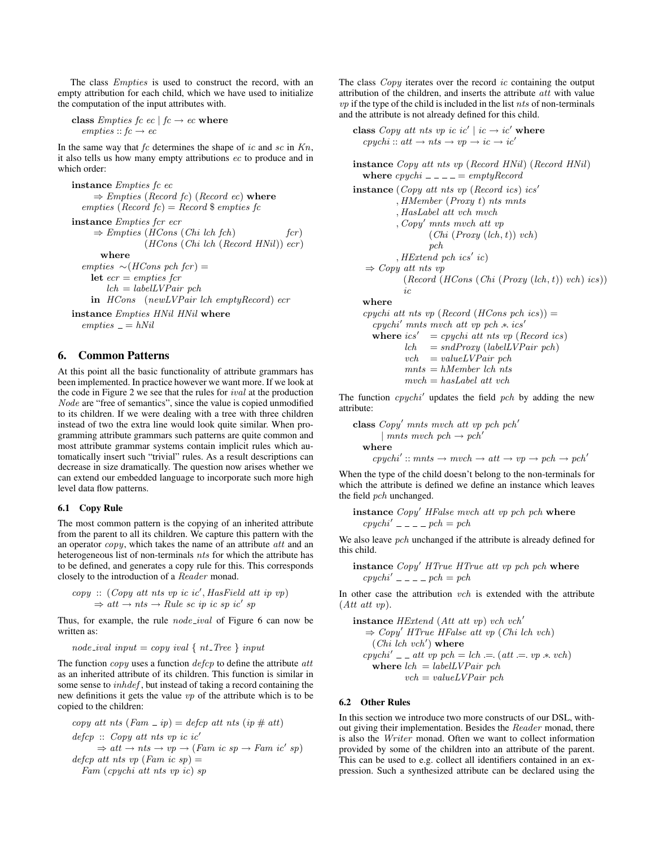The class *Empties* is used to construct the record, with an empty attribution for each child, which we have used to initialize the computation of the input attributes with.

class *Empties fc* ec |  $fc \rightarrow ec$  where  $empties :: fc \rightarrow ec$ 

In the same way that  $fc$  determines the shape of  $ic$  and  $sc$  in  $Kn$ , it also tells us how many empty attributions ec to produce and in which order:

instance Empties fc ec  $\Rightarrow$  Empties (Record fc) (Record ec) where empties (Record  $fc$ ) = Record \$ empties  $fc$ instance *Empties* fcr ecr  $\Rightarrow$  Empties (HCons (Chi lch fch) fcr) (HCons (Chi lch (Record HNil)) ecr ) where empties  $\sim$ (HCons pch fcr) = let  $ecr = \emph{empties for}$  $lch = label LVP$ air pch in HCons (newLVPair lch emptyRecord) ecr instance Empties HNil HNil where  $empties = hNil$ 

## 6. Common Patterns

At this point all the basic functionality of attribute grammars has been implemented. In practice however we want more. If we look at the code in Figure 2 we see that the rules for ival at the production Node are "free of semantics", since the value is copied unmodified to its children. If we were dealing with a tree with three children instead of two the extra line would look quite similar. When programming attribute grammars such patterns are quite common and most attribute grammar systems contain implicit rules which automatically insert such "trivial" rules. As a result descriptions can decrease in size dramatically. The question now arises whether we can extend our embedded language to incorporate such more high level data flow patterns.

#### 6.1 Copy Rule

The most common pattern is the copying of an inherited attribute from the parent to all its children. We capture this pattern with the an operator  $copy$ , which takes the name of an attribute  $att$  and an heterogeneous list of non-terminals *nts* for which the attribute has to be defined, and generates a copy rule for this. This corresponds closely to the introduction of a Reader monad.

$$
copy :: (Copy at nts vp ic ic', HasField at tip vp)
$$
  
\n
$$
\Rightarrow att \rightarrow nts \rightarrow Rule sc ip ic sp ic'sp
$$

Thus, for example, the rule node\_ival of Figure 6 can now be written as:

node\_ival input = copy 
$$
ival \{ nt \text{--} Tree \}
$$
 input

The function  $\cos y$  uses a function  $\text{defcp}$  to define the attribute  $\text{at}$ as an inherited attribute of its children. This function is similar in some sense to *inhdef*, but instead of taking a record containing the new definitions it gets the value vp of the attribute which is to be copied to the children:

\n
$$
\text{copy at } t \text{ nts } (Fam \_ ip) = \text{defcp at } t \text{ nts } (ip \# \text{ att})
$$
\n

\n\n $\text{defcp} :: \text{Copy at } t \text{ ns } vp \text{ ic } ic'$ \n

\n\n $\Rightarrow \text{att} \rightarrow \text{nts} \rightarrow vp \rightarrow (\text{Fam } ic \text{ sp} \rightarrow \text{Fam } ic' \text{ sp})$ \n

\n\n $\text{defcp at } n \text{ ts } vp \text{ (Fam } ic \text{ sp}) =$ \n

\n\n $\text{Fam} (\text{cpychi at } t \text{ nts } vp \text{ ic } sp)$ \n

The class *Copy* iterates over the record *ic* containing the output attribution of the children, and inserts the attribute att with value  $vp$  if the type of the child is included in the list nts of non-terminals and the attribute is not already defined for this child.

```
class Copy att nts vp ic ic' | ic \rightarrow ic' where
   cpychi :: att \rightarrow nts \rightarrow vp \rightarrow ic \rightarrow ic'instance Copy att nts vp (Record HNil) (Record HNil)
   where cpychi \qquad \qquad \qquad \qquad \qquad \qquad \qquad \qquad \qquad \qquad \qquad \qquad \qquad \qquad \qquad \qquad \qquad \qquad \qquad \qquad \qquad \qquad \qquad \qquad \qquad \qquad \qquad \qquad \qquad \qquad \qquad \qquad \qquad \qquad \qquadinstance (Copy att nts vp (Record ics) ics'
             , HMember (Proxy t) nts mnts
             , HasLabel att vch mvch
             , Copy' mnts mvch att vp
                        (Chi (Proxy (lch, t)) vch)pch
              , HExtend pch ics' ic)
   \Rightarrow Copy att nts vp
                (Record (HCons (Chi (Proxy (lch, t)) vch) ics))ic
   where
   cpychi att nts vp (Record (HCons pch ics)) =
      cpychi' mnts mvch att vp pch \ast. ics'
      where ics' = cpychi att nts vp (Record ics)
                lch = \text{sndProxy} (labelLVPair pch)
                 vch = valueLVPair pch
                 mnts = hMember \; lch \; ntsmvch = hasLabel att vch
```
The function  $cpychi'$  updates the field pch by adding the new attribute:

| class Copy' mnts much att vp pch pch' |                                                                                                          |
|---------------------------------------|----------------------------------------------------------------------------------------------------------|
| 1 mnts much pch $\rightarrow$ pch'    |                                                                                                          |
| where                                 | cychi':: mnts $\rightarrow$ mvch $\rightarrow$ att $\rightarrow$ vp $\rightarrow$ pch $\rightarrow$ pch' |

When the type of the child doesn't belong to the non-terminals for which the attribute is defined we define an instance which leaves the field pch unchanged.

**instance** *Copy' HFalse much att vp ych when*  
*cpychi'* 
$$
---
$$
 *pch*  $=$  *pch*

We also leave *pch* unchanged if the attribute is already defined for this child.

**instance** *Copy' HTrue HTrue att vp pch pch* **where** 
$$
cpychi' = -pch = pch
$$

In other case the attribution  $vch$  is extended with the attribute (Att att vp).

```
instance HExtend (Att att vp) vch vch'
  \Rightarrow Copy' HTrue HFalse att vp (Chi lch vch)
    (Chi lch vch') where
  cpychi' = att vp pch = lch .= (att .= vp * vch)
    where lch = labelLVPair pch
           vch = valueLVPair pch
```
#### 6.2 Other Rules

In this section we introduce two more constructs of our DSL, without giving their implementation. Besides the Reader monad, there is also the Writer monad. Often we want to collect information provided by some of the children into an attribute of the parent. This can be used to e.g. collect all identifiers contained in an expression. Such a synthesized attribute can be declared using the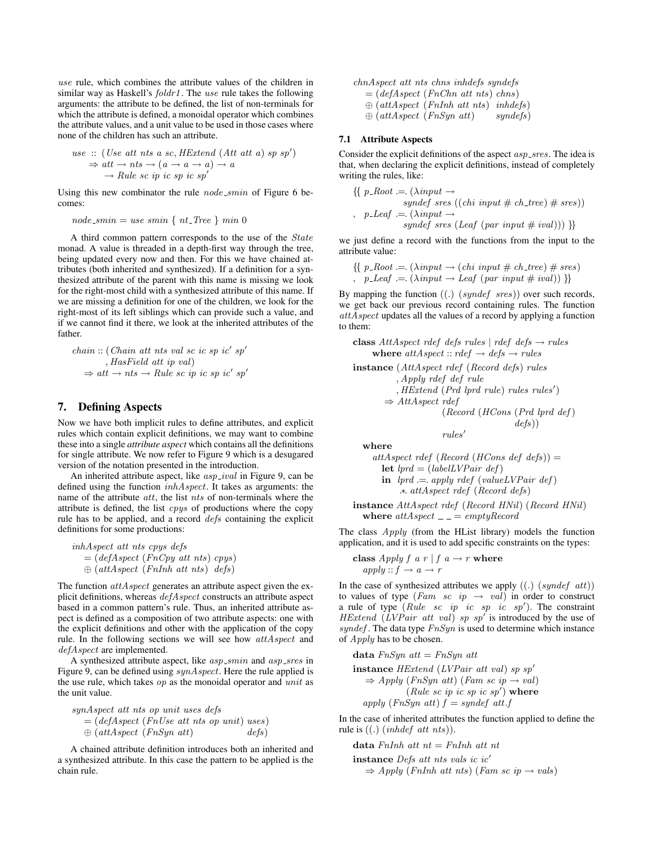use rule, which combines the attribute values of the children in similar way as Haskell's *foldr1*. The use rule takes the following arguments: the attribute to be defined, the list of non-terminals for which the attribute is defined, a monoidal operator which combines the attribute values, and a unit value to be used in those cases where none of the children has such an attribute.

use :: (Use att nts a sc, HExtend (Att att a) sp sp')  
\n
$$
\Rightarrow
$$
 att  $\rightarrow$ nts  $\rightarrow$  (a  $\rightarrow$  a  $\rightarrow$  a)  $\rightarrow$  a  
\n $\rightarrow$  Rule sc ip ic sp' c sp'

Using this new combinator the rule node\_smin of Figure 6 becomes:

 $node\_smin = use \; smin \{ nt\_Tree \} \; min \; 0$ 

A third common pattern corresponds to the use of the State monad. A value is threaded in a depth-first way through the tree, being updated every now and then. For this we have chained attributes (both inherited and synthesized). If a definition for a synthesized attribute of the parent with this name is missing we look for the right-most child with a synthesized attribute of this name. If we are missing a definition for one of the children, we look for the right-most of its left siblings which can provide such a value, and if we cannot find it there, we look at the inherited attributes of the father.

chain :: (Chain att nts val sc ic sp ic' sp'  
, HasField att ip val)  

$$
\Rightarrow
$$
 att  $\rightarrow$  nts  $\rightarrow$  Rule sc ip ic sp ic' sp'

## 7. Defining Aspects

Now we have both implicit rules to define attributes, and explicit rules which contain explicit definitions, we may want to combine these into a single *attribute aspect* which contains all the definitions for single attribute. We now refer to Figure 9 which is a desugared version of the notation presented in the introduction.

An inherited attribute aspect, like *asp\_ival* in Figure 9, can be defined using the function inhAspect. It takes as arguments: the name of the attribute att, the list nts of non-terminals where the attribute is defined, the list cpys of productions where the copy rule has to be applied, and a record defs containing the explicit definitions for some productions:

```
inhAspect att nts cpys defs
   =(\text{def}A\text{spect }(\text{FnCpy att nts})\text{ cpys})\oplus (attAspect (FnInh att nts) defs)
```
The function  $attAspect$  generates an attribute aspect given the explicit definitions, whereas defAspect constructs an attribute aspect based in a common pattern's rule. Thus, an inherited attribute aspect is defined as a composition of two attribute aspects: one with the explicit definitions and other with the application of the copy rule. In the following sections we will see how attAspect and defAspect are implemented.

A synthesized attribute aspect, like  $asp\_smin$  and  $asp\_sres$  in Figure 9, can be defined using  $synAspect$ . Here the rule applied is the use rule, which takes  $op$  as the monoidal operator and *unit* as the unit value.

synAspect att nts op unit uses defs  $=(defAspect (FnUse att nts op unit) uses)$  $\oplus$  (attAspect (FnSyn att) defs)

A chained attribute definition introduces both an inherited and a synthesized attribute. In this case the pattern to be applied is the chain rule.

chnAspect att nts chns inhdefs syndefs  $=(defAspect (FnChn att nts) chns)$  $\oplus$  (attAspect (FnInh att nts) inhdefs)  $\oplus$  (attAspect (FnSyn att) syndefs)

#### 7.1 Attribute Aspects

Consider the explicit definitions of the aspect  $asp\_sres$ . The idea is that, when declaring the explicit definitions, instead of completely writing the rules, like:

$$
\{\n{ p\text{-}Root := (\lambda input \rightarrow \text{ }\text{ }\text{ }\text{ }space((chi input # ch\_tree) # sres))\n{, p\text{-}Leaf := (\lambda input \rightarrow \text{ }\text{ }\text{ }space((eq f (par input # ival)))\n}\n}
$$

we just define a record with the functions from the input to the attribute value:

$$
\{\{p\_Root := (\lambda input \rightarrow (chi input \# ch\_tree) \# sres) \}, p\_Leaf := (\lambda input \rightarrow Leaf (par input \# ival)) \}\}
$$

By mapping the function  $((.)$   $(syndef \ sres))$  over such records, we get back our previous record containing rules. The function attAspect updates all the values of a record by applying a function to them:

class AttAspect rdef defs rules | rdef defs  $\rightarrow$  rules where  $attAspect:: rdef \rightarrow defs \rightarrow rules$ 

$$
\begin{aligned}\n\text{instance } (AttAspect \; rdef \; (Record \; defs) \; rules \\
, Apply \; rdef \; def \; rule \\
, HExtend \; (Prd \; lprd \; rule) \; rules \; rules') \\
\Rightarrow AttAspect \; rdef \\
 (Record \; (HCons \; (Prd \; lprd \; defs))\n\end{aligned}
$$

 $rules'$ 

where

\n
$$
\text{attAspect} \, \text{rdef} \, (\text{Record} \, (\text{HCons} \, \text{def} \, \text{def})) =
$$
\n

\n\n $\text{let } \, \text{lprd} = (\text{labelLPPair} \, \text{def})$ \n

\n\n $\text{in } \, \text{lprd} = \text{apply} \, \text{rdef} \, (\text{valueLPPair} \, \text{def})$ \n

\n\n $\text{in } \, \text{lprd} = \text{apply} \, \text{rdef} \, (\text{valueLPPair} \, \text{def})$ \n

**instance** AttAspect *rdef* (Record HNil) (Record HNil)  
**where** attAspect 
$$
=
$$
 =  $emptyRecord$ 

The class Apply (from the HList library) models the function application, and it is used to add specific constraints on the types:

class Apply f a r | f a  $\rightarrow r$  where  $apply :: f \rightarrow a \rightarrow r$ 

In the case of synthesized attributes we apply  $((.)$   $(syndef - att))$ to values of type (Fam sc ip  $\rightarrow$  val) in order to construct a rule of type  $(R\dot{u}l$ e sc ip ic sp ic sp'). The constraint HExtend  $(\hat{L}VP\hat{air}$  att val) sp sp<sup>f</sup> is introduced by the use of syndef. The data type  $FnSyn$  is used to determine which instance of Apply has to be chosen.

$$
\begin{array}{l} \textbf{data }FnSyn \; att = FnSyn \; att \\ \textbf{instance } HExtend \; (LVPair \; att \; val) \; sp \; sp' \\ \Rightarrow \; Apply \; (FnSyn \; att) \; (Fam \; sc \; ip \rightarrow val) \\ \; (Rule \; sc \; ip \; ic \; sp' ) \; \textbf{where} \\ apply \; (FnSyn \; att) \; f = syndef \; att.f \end{array}
$$

In the case of inherited attributes the function applied to define the rule is  $((.)$  (inhdef att nts)).

data  $FnInh$  att  $nt = FnInh$  att  $nt$ 

instance Defs att nts vals ic  $ic'$ 

 $\Rightarrow Apply$  (FnInh att nts) (Fam sc ip  $\rightarrow vals$ )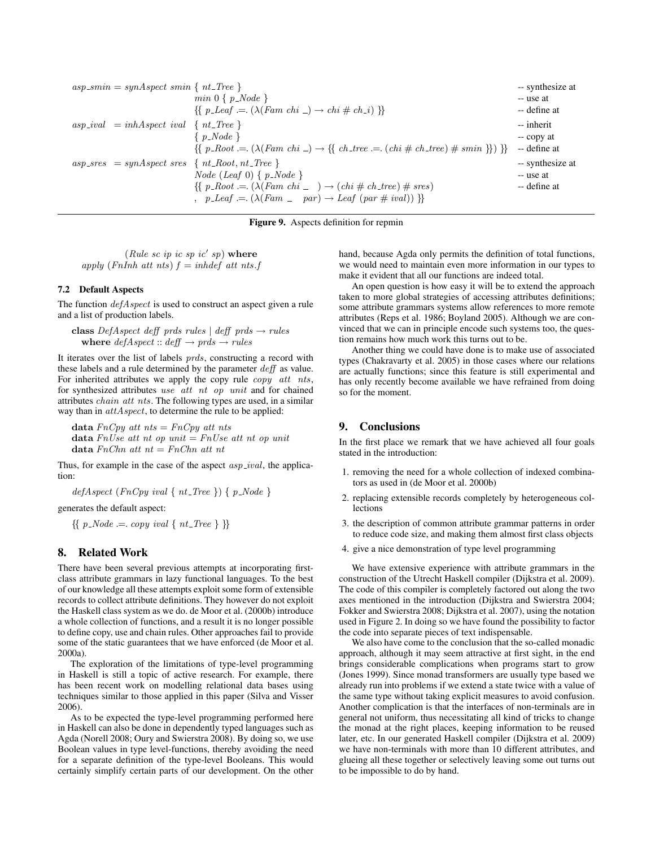| $asp\_smin = synAspect \; smin \{ nt\_Tree \}$           | $min\ 0\ \{p\_Node\}$<br>$\{ \{ \ p\_{Leaf} := (\lambda(Fam \ chi \_) \rightarrow chi \# ch_i) \} \}$                                                                                                      | -- synthesize at<br>-- use at<br>-- define at |
|----------------------------------------------------------|------------------------------------------------------------------------------------------------------------------------------------------------------------------------------------------------------------|-----------------------------------------------|
| $asp\_ival = inhAspect \;ival \{ nt\_Tree \}$            | $\{p\_Node\}$                                                                                                                                                                                              | -- inherit<br>-- copy at                      |
|                                                          | $\{ \varphi_R\}_{\text{not}} := \{ \lambda(Fam \, chi \_) \rightarrow \{ \} \}$ ch_tree = $\{ \text{chi } \# \, ch \, tree \} \neq \{ \text{sim } \} \}$                                                   | -- define at                                  |
| $asp\_sres = synAspect \; sres \{ nt\_Root, nt\_Tree \}$ | <i>Node</i> ( <i>Leaf</i> 0) { $p$ <sub>-</sub> <i>Node</i> }                                                                                                                                              | -- synthesize at<br>-- use at                 |
|                                                          | $\{ \{ p\_{Root} := (\lambda(Fam\,chi) \rightarrow (chi \# \,ch \,tree) \# \,sres) \}$<br>$p\_\mathit{leaf} := (\lambda(\mathit{Fam} \_\_\mathit{par}) \to \mathit{Leaf} (\mathit{par} \# \mathit{ival}))$ | -- define at                                  |

Figure 9. Aspects definition for repmin

(*Rule sc ip ic sp ic' sp*) where apply (FnInh att nts)  $f = inhdef$  att nts.f

#### 7.2 Default Aspects

The function  $defAspect$  is used to construct an aspect given a rule and a list of production labels.

class DefAspect deff prds rules  $\vert$  deff prds  $\rightarrow$  rules where  $\text{def}A \text{spect} :: \text{def} \rightarrow \text{prds} \rightarrow \text{rules}$ 

It iterates over the list of labels prds, constructing a record with these labels and a rule determined by the parameter  $\text{def}$  as value. For inherited attributes we apply the copy rule *copy att nts*, for synthesized attributes use att nt op unit and for chained attributes chain att nts. The following types are used, in a similar way than in  $attAspect$ , to determine the rule to be applied:

data  $FnCpy$  att nts =  $FnCpy$  att nts data  $FnUse$  att nt op unit =  $FnUse$  att nt op unit data  $FnChn$  att nt =  $FnChn$  att nt

Thus, for example in the case of the aspect  $asp\_ival$ , the application:

 $defAspect (FnCpy\;ival\{ nt\_Tree \}) \{ p\_Node \}$ 

generates the default aspect:

 $\{ \{ p\_Node := copy \; ival \; \{ nt\_Tree \} \} \}$ 

## 8. Related Work

There have been several previous attempts at incorporating firstclass attribute grammars in lazy functional languages. To the best of our knowledge all these attempts exploit some form of extensible records to collect attribute definitions. They however do not exploit the Haskell class system as we do. de Moor et al. (2000b) introduce a whole collection of functions, and a result it is no longer possible to define copy, use and chain rules. Other approaches fail to provide some of the static guarantees that we have enforced (de Moor et al. 2000a).

The exploration of the limitations of type-level programming in Haskell is still a topic of active research. For example, there has been recent work on modelling relational data bases using techniques similar to those applied in this paper (Silva and Visser 2006).

As to be expected the type-level programming performed here in Haskell can also be done in dependently typed languages such as Agda (Norell 2008; Oury and Swierstra 2008). By doing so, we use Boolean values in type level-functions, thereby avoiding the need for a separate definition of the type-level Booleans. This would certainly simplify certain parts of our development. On the other hand, because Agda only permits the definition of total functions, we would need to maintain even more information in our types to make it evident that all our functions are indeed total.

An open question is how easy it will be to extend the approach taken to more global strategies of accessing attributes definitions; some attribute grammars systems allow references to more remote attributes (Reps et al. 1986; Boyland 2005). Although we are convinced that we can in principle encode such systems too, the question remains how much work this turns out to be.

Another thing we could have done is to make use of associated types (Chakravarty et al. 2005) in those cases where our relations are actually functions; since this feature is still experimental and has only recently become available we have refrained from doing so for the moment.

## 9. Conclusions

In the first place we remark that we have achieved all four goals stated in the introduction:

- 1. removing the need for a whole collection of indexed combinators as used in (de Moor et al. 2000b)
- 2. replacing extensible records completely by heterogeneous collections
- 3. the description of common attribute grammar patterns in order to reduce code size, and making them almost first class objects
- 4. give a nice demonstration of type level programming

We have extensive experience with attribute grammars in the construction of the Utrecht Haskell compiler (Dijkstra et al. 2009). The code of this compiler is completely factored out along the two axes mentioned in the introduction (Dijkstra and Swierstra 2004; Fokker and Swierstra 2008; Dijkstra et al. 2007), using the notation used in Figure 2. In doing so we have found the possibility to factor the code into separate pieces of text indispensable.

We also have come to the conclusion that the so-called monadic approach, although it may seem attractive at first sight, in the end brings considerable complications when programs start to grow (Jones 1999). Since monad transformers are usually type based we already run into problems if we extend a state twice with a value of the same type without taking explicit measures to avoid confusion. Another complication is that the interfaces of non-terminals are in general not uniform, thus necessitating all kind of tricks to change the monad at the right places, keeping information to be reused later, etc. In our generated Haskell compiler (Dijkstra et al. 2009) we have non-terminals with more than 10 different attributes, and glueing all these together or selectively leaving some out turns out to be impossible to do by hand.